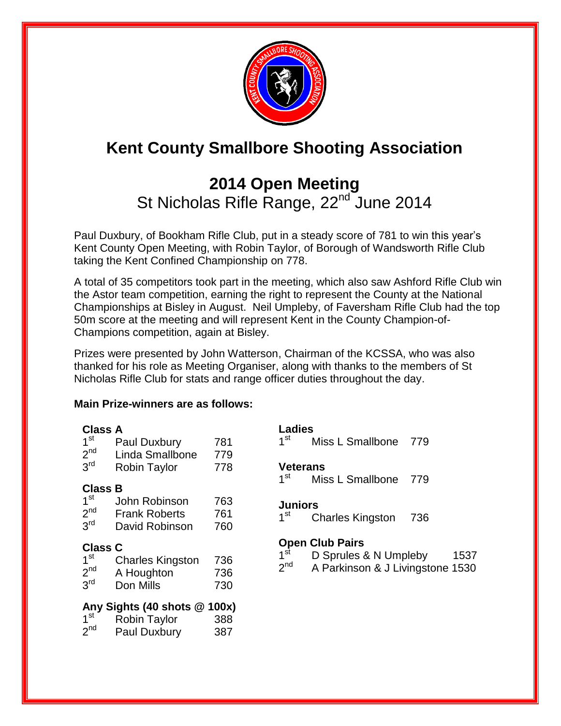

# **Kent County Smallbore Shooting Association**

## **2014 Open Meeting**  St Nicholas Rifle Range, 22<sup>nd</sup> June 2014

Paul Duxbury, of Bookham Rifle Club, put in a steady score of 781 to win this year's Kent County Open Meeting, with Robin Taylor, of Borough of Wandsworth Rifle Club taking the Kent Confined Championship on 778.

A total of 35 competitors took part in the meeting, which also saw Ashford Rifle Club win the Astor team competition, earning the right to represent the County at the National Championships at Bisley in August. Neil Umpleby, of Faversham Rifle Club had the top 50m score at the meeting and will represent Kent in the County Champion-of-Champions competition, again at Bisley.

Prizes were presented by John Watterson, Chairman of the KCSSA, who was also thanked for his role as Meeting Organiser, along with thanks to the members of St Nicholas Rifle Club for stats and range officer duties throughout the day.

#### **Main Prize-winners are as follows:**

| <b>Class A</b>                 |                         |     |                        | <b>Ladies</b>                    |     |  |  |  |
|--------------------------------|-------------------------|-----|------------------------|----------------------------------|-----|--|--|--|
| 1 <sup>st</sup>                | Paul Duxbury            | 781 | 1 <sup>st</sup>        | Miss L Smallbone                 | 779 |  |  |  |
| 2 <sup>nd</sup>                | Linda Smallbone         | 779 |                        |                                  |     |  |  |  |
| 3 <sup>rd</sup>                | <b>Robin Taylor</b>     | 778 | Veterans               |                                  |     |  |  |  |
| <b>Class B</b>                 |                         |     | 1 <sup>st</sup>        | Miss L Smallbone                 | 779 |  |  |  |
|                                |                         |     |                        |                                  |     |  |  |  |
| 1 <sup>st</sup>                | John Robinson           | 763 | <b>Juniors</b>         |                                  |     |  |  |  |
| 2 <sup>nd</sup>                | <b>Frank Roberts</b>    | 761 | 1 <sup>st</sup>        | <b>Charles Kingston</b>          | 736 |  |  |  |
| 3 <sup>rd</sup>                | David Robinson          | 760 |                        |                                  |     |  |  |  |
| <b>Class C</b>                 |                         |     | <b>Open Club Pairs</b> |                                  |     |  |  |  |
| 1 <sup>st</sup>                |                         | 736 | 1 <sup>st</sup>        | D Sprules & N Umpleby<br>1537    |     |  |  |  |
|                                | <b>Charles Kingston</b> |     | 2 <sup>nd</sup>        | A Parkinson & J Livingstone 1530 |     |  |  |  |
| 2 <sup>nd</sup>                | A Houghton              | 736 |                        |                                  |     |  |  |  |
| 3 <sup>rd</sup>                | Don Mills               | 730 |                        |                                  |     |  |  |  |
| Any Sights (40 shots $@$ 100x) |                         |     |                        |                                  |     |  |  |  |
| 1 <sup>st</sup>                | <b>Robin Taylor</b>     | 388 |                        |                                  |     |  |  |  |
| 2 <sub>nd</sub>                | Paul Duxbury            | 387 |                        |                                  |     |  |  |  |
|                                |                         |     |                        |                                  |     |  |  |  |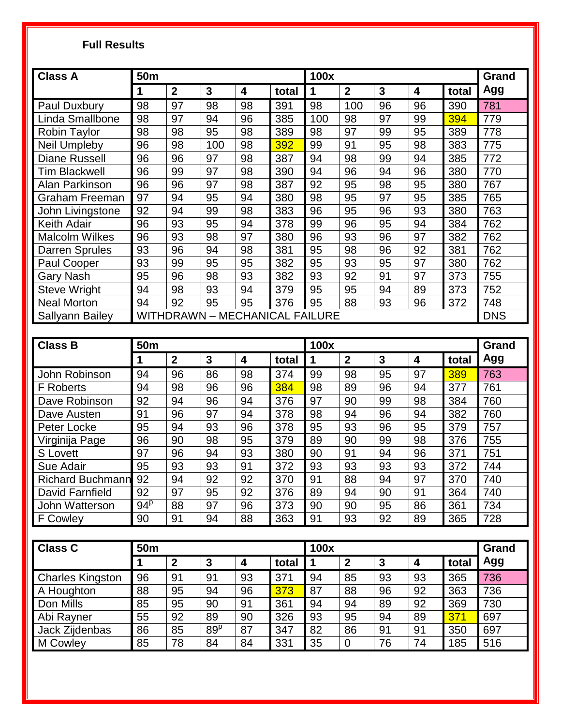### **Full Results**

| <b>Class A</b>                                    | <b>50m</b> |                  |                 |                         | 100x  |     |                  |              | Grand                   |       |     |
|---------------------------------------------------|------------|------------------|-----------------|-------------------------|-------|-----|------------------|--------------|-------------------------|-------|-----|
|                                                   | 1          | $\mathbf{2}$     | $\mathbf{3}$    | $\overline{\mathbf{4}}$ | total | 1   | $\overline{2}$   | 3            | $\overline{\mathbf{4}}$ | total | Agg |
| Paul Duxbury                                      | 98         | 97               | 98              | 98                      | 391   | 98  | 100              | 96           | 96                      | 390   | 781 |
| Linda Smallbone                                   | 98         | 97               | 94              | 96                      | 385   | 100 | 98               | 97           | 99                      | 394   | 779 |
| <b>Robin Taylor</b>                               | 98         | 98               | 95              | 98                      | 389   | 98  | 97               | 99           | 95                      | 389   | 778 |
| Neil Umpleby                                      | 96         | 98               | 100             | 98                      | 392   | 99  | 91               | 95           | 98                      | 383   | 775 |
| <b>Diane Russell</b>                              | 96         | 96               | 97              | 98                      | 387   | 94  | 98               | 99           | 94                      | 385   | 772 |
| <b>Tim Blackwell</b>                              | 96         | 99               | 97              | 98                      | 390   | 94  | 96               | 94           | 96                      | 380   | 770 |
| Alan Parkinson                                    | 96         | 96               | 97              | 98                      | 387   | 92  | 95               | 98           | 95                      | 380   | 767 |
| <b>Graham Freeman</b>                             | 97         | 94               | 95              | 94                      | 380   | 98  | 95               | 97           | 95                      | 385   | 765 |
| John Livingstone                                  | 92         | 94               | 99              | 98                      | 383   | 96  | 95               | 96           | 93                      | 380   | 763 |
| <b>Keith Adair</b>                                | 96         | 93               | 95              | 94                      | 378   | 99  | 96               | 95           | 94                      | 384   | 762 |
| <b>Malcolm Wilkes</b>                             | 96         | 93               | 98              | 97                      | 380   | 96  | 93               | 96           | 97                      | 382   | 762 |
| <b>Darren Sprules</b>                             | 93         | 96               | 94              | 98                      | 381   | 95  | 98               | 96           | 92                      | 381   | 762 |
| Paul Cooper                                       | 93         | 99               | 95              | 95                      | 382   | 95  | 93               | 95           | 97                      | 380   | 762 |
| <b>Gary Nash</b>                                  | 95         | 96               | 98              | 93                      | 382   | 93  | 92               | 91           | 97                      | 373   | 755 |
| <b>Steve Wright</b>                               | 94         | 98               | 93              | 94                      | 379   | 95  | 95               | 94           | 89                      | 373   | 752 |
| <b>Neal Morton</b>                                | 94         | 92               | 95              | 95                      | 376   | 95  | 88               | 93           | 96                      | 372   | 748 |
| WITHDRAWN - MECHANICAL FAILURE<br>Sallyann Bailey |            |                  |                 |                         |       |     | <b>DNS</b>       |              |                         |       |     |
|                                                   |            |                  |                 |                         |       |     |                  |              |                         |       |     |
| <b>Class B</b>                                    | <b>50m</b> |                  |                 |                         | 100x  |     |                  |              | Grand                   |       |     |
|                                                   | 1          | $\boldsymbol{2}$ | $\mathbf{3}$    | $\overline{\mathbf{4}}$ | total | 1   | $\boldsymbol{2}$ | $\mathbf{3}$ | $\boldsymbol{4}$        | total | Agg |
| John Robinson                                     | 94         | 96               | 86              | 98                      | 374   | 99  | 98               | 95           | 97                      | 389   | 763 |
| <b>F</b> Roberts                                  | 94         | 98               | 96              | 96                      | 384   | 98  | 89               | 96           | 94                      | 377   | 761 |
| Dave Robinson                                     | 92         | 94               | 96              | 94                      | 376   | 97  | 90               | 99           | 98                      | 384   | 760 |
| Dave Austen                                       | 91         | 96               | 97              | 94                      | 378   | 98  | 94               | 96           | 94                      | 382   | 760 |
| Peter Locke                                       | 95         | 94               | 93              | 96                      | 378   | 95  | 93               | 96           | 95                      | 379   | 757 |
| Virginija Page                                    | 96         | 90               | 98              | 95                      | 379   | 89  | 90               | 99           | 98                      | 376   | 755 |
| <b>S</b> Lovett                                   | 97         | 96               | 94              | 93                      | 380   | 90  | 91               | 94           | 96                      | 371   | 751 |
| Sue Adair                                         | 95         | 93               | 93              | 91                      | 372   | 93  | 93               | 93           | 93                      | 372   | 744 |
| <b>Richard Buchmann</b>                           | 92         | 94               | $\overline{92}$ | 92                      | 370   | 91  | 88               | 94           | 97                      | 370   | 740 |
| David Farnfield                                   | 92         | 97               | 95              | 92                      | 376   | 89  | 94               | 90           | 91                      | 364   | 740 |
| John Watterson                                    | $94^p$     | 88               | 97              | 96                      | 373   | 90  | 90               | 95           | 86                      | 361   | 734 |
| F Cowley                                          | 90         | 91               | 94              | 88                      | 363   | 91  | 93               | 92           | 89                      | 365   | 728 |
|                                                   |            |                  |                 |                         |       |     |                  |              |                         |       |     |
| <b>Class C</b>                                    | 50m        |                  |                 |                         | 100x  |     |                  |              | Grand                   |       |     |
|                                                   | 1          | $\boldsymbol{2}$ | $\mathbf{3}$    | 4                       | total | 1   | $\boldsymbol{2}$ | $\mathbf{3}$ | 4                       | total | Agg |
| <b>Charles Kingston</b>                           | 96         | 91               | 91              | 93                      | 371   | 94  | 85               | 93           | 93                      | 365   | 736 |
| A Houghton                                        | 88         | 95               | 94              | 96                      | 373   | 87  | 88               | 96           | 92                      | 363   | 736 |
| Don Mills                                         | 85         | 95               | 90              | 91                      | 361   | 94  | 94               | 89           | 92                      | 369   | 730 |
| Abi Rayner                                        | 55         | 92               | 89              | 90                      | 326   | 93  | 95               | 94           | 89                      | 371   | 697 |
| Jack Zijdenbas                                    | 86         | 85               | 89 <sup>p</sup> | 87                      | 347   | 82  | 86               | 91           | 91                      | 350   | 697 |
| M Cowley                                          | 85         | 78               | 84              | 84                      | 331   | 35  | $\pmb{0}$        | 76           | 74                      | 185   | 516 |